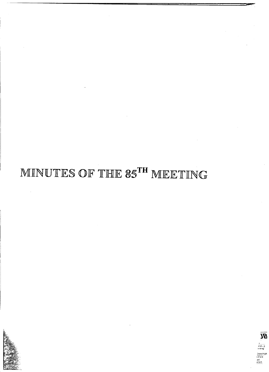



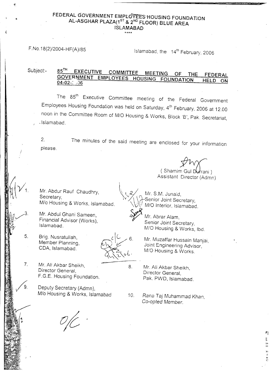## **FEDERAL GOVERNMENT EMPt67E"Es:HOUSING FOUNDATION AL-ASGHAR PLAZA(1sT & 2 ND FLOOR) BLUE AREA ISLAMABAD**

**\*\*\*\***

ę

F.No.18(2)/2004-HF(A)/85 Islamabad, the  $14<sup>th</sup>$  February, 2006

**6.** J **¥. ) ~&1**

"<br>I? **)n**

**"1**

**FEDERAL HELD ON 85 EXECUTIVE COMMlnEE MEETING OF THE**  $85^{\text{TH}}$ **GOVERNMENT EMPLOYEES HOUSING FOUNDATION 04-02-:'** ~J6 Subject:-

The 85<sup>th</sup> Executive Committee meeting of the Federal Governmer Employees Housing Foundation was held on Saturday, 4th February, 2006 at 12 oc noon in the Committee Room of *M/O* Housing & Works, Block 'B', Pak. Secretariat, . Islamabad.

The minutes of the said meeting are enclosed for your information 2. please.

(Shamim Gul Durrani) Assistant Director (Admn)

Mr. Abdur Rauf Chaudhry, Secretary, *Mlo* Housing & Works, Islamabad.

Mr. Abdul Ghani Sameen, Financial Advisor (Works), Islamabad.

Brig. Nusratullah, Member Planning, CDA, Islamabad.

5.



\

 $7<sub>1</sub>$ Mr. Ali Akbar Sheikh, Director General, F.G.E. Housing Foundation.

> Deputy Secretary (Admn), *Mlo* Housing & Works, Islamabad

Mr. S.M. Junaid,<br>Senior Joint Secretary, *M/O* Interior, Islamabad.<br>*Mr. Abrar Alam,* 

Senior Joint Secretary, M/O Housing & Works, Ibd.

Mr. Muzaffar Hussain Manjai, Joint Engineering Advisor, M/O Housing & Works.

8. Mr. Ali Akbar Sheikh, Director General, Pak. PWD, Islamabad.

10. Rana Taj *Muhammad* Khan, *Co-opted* Member.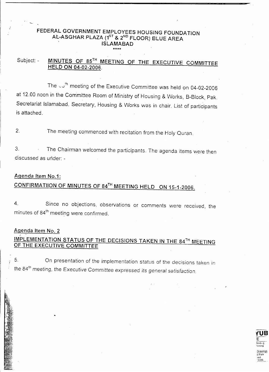#### FEDERAL GOVERNMENT EMPLOYEES HOUSING FOUNDATION <code>AL-ASGHAR PLAZA</code> (1 $^{\text{ST}}$  & 2 $^{\text{ND}}$  FLOOR) BLUE AREA ISLAMABAD \*\*\*\*

# Subject: - MINUTES OF 85TH MEETING OF THE EXECUTIVE COMMITTEE HELD ON 04-02-2006.

The  $\omega$ <sup>th</sup> meeting of the Executive Committee was held on 04-02-2006 at 12.00 noon in the Committee Room of Ministry of Housing & Works, B-Block, Pak. Secretariat Islamabad. Secretary, Housing & Works was in chair. List of participants is attached.

2. The meeting commenced with recitation from the Holy Ouran.

3. The Chairman welcomed the participants. The agenda items were then discussed as under: -

#### Agenda Item NO.1:

# CONFIRMATIION OF MINUTES OF 84TH MEETING HELD ON 15-1-2006.

4. Since no objections, observations or comments were received, the minutes of 84<sup>th</sup> meeting were confirmed.

# Agenda Item NO.2 *I •*

## IMPLEMENTATION STATUS OF THE DECISIONS TAKEN IN THE 84TH MEETING OF THE EXECUTIVE COMMITTEE

5. On presentation of the implementation status of the decisions taken in the 84<sup>th</sup> meeting, the Executive Committee expressed its general satisfactic

> **tUB** E 3ind",g 'rinting <u>o</u> d Park )ad  $~\tilde{}~$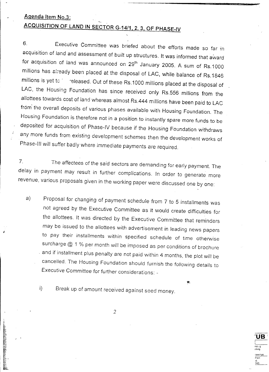## Agenda Item NO.3:

# ACQUISITION OF LAND IN SECTOR G-14/1, 2,3, OF PHASE-IV

6. Executive Committee was briefed about the efforts made so far in acquisition of land and assessment of built up structures. It was informed that award for acquisition of land was announced on 29<sup>th</sup> January 2005. A sum of Rs.1000 millions has already been placed at the disposal of LAC, while balance of Rs.1846 millions is yet to released. Out of these Rs.1000 millions placed at the disposal of LAC, the Housing Foundation has since received only Rs.556 millions from the allottees towards cost of land whereas almost Rs.444 millions have been paid to LAC from the overall deposits of various phases available with Housing Foundation. The Housing Foundation is therefore not in a position to instantly spare more funds to be deposited for acquisition of Phase-IV because if the Housing Foundation withdraws any more funds from existing development schemes then the development works of Phase-III will suffer badly where immediate payments are required.

-""sF'"

'UB'

nd., nhng rawing P?rk id.  $\frac{1}{2}$ 

*7. The* affectees of the said sectors are demanding for early payment. The delay in payment may result in further complications. In order to generate more revenue, various proposals given in the working paper were discussed one by one:

a) Proposal for changing of payment schedule from <sup>7</sup> to <sup>5</sup> installments was not agreed by the Executive Committee as it would create difficulties for the allottees. It was directed by the Executive Committee that reminders may be issued to the allottees with advertisement in leading news papers to pay their installments within specified schedule of time otherwise surcharge @ 1 % per month will be imposed as per conditions of brochure and if installment plus penalty are not paid within 4 months, the plot will be cancelled. The Housing Foundation should furnish *the* following details to Executive Committee for further considerations: \_

 $\bullet$ .

*f*

i) Break up of amount received against seed money.

2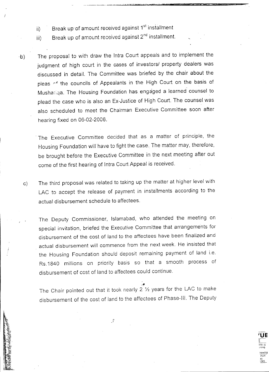- ii) Break up of amount received against 1<sup>st</sup> installmen
- iii) Break up of amount received against 2<sup>nd</sup> installment
- 'b) The proposal to with draw the Intra Court appeals and to implement the judgment of high court in the cases of investors/ property dealers was discussed in detail. The Committee was briefed by the chair about the pleas of the councils of Appealants in the High Court on the basis of Mushariga. The Housing Foundation has engaged a learned counsel to plead the case who is also an Ex-Justice of High Court. The counsel was also scheduled to meet the Chairman Executive Committee soon after hearing fixed on 06-02-2006.
	- . The Executive Committee decided that as a matter of principle, the Housing Foundation will have to fight the case. The matter may, therefore, be brought before the Executive Committee in the next meeting after out come of the first hearing of Intra Court Appeal is received.
	- c) The third proposal was related to taking up the matter at higher level with LAC to accept the release of payment in installments according to the actual disbursement schedule to affectees.

The Deputy Commissioner, Islamabad, who attended the meeting on special invitation, briefed the Executive Committee that arrangements for disbursement of the cost of land to the affectees have been finalized and actual disbursement will commence from the next week. He insisted that the Housing Foundation should deposit remaining payment of land i.e. RS.1840 millions on priority basis so that a smooth process of disbursement of cost of land to affectees could continue .

The Chair pointed out that it took nearly 2 1/2 years for the LAC to make disbursement of the cost of land to the affectees of Phase-III. The Deputy

 $\hat{J}$ 

**rUE**

ind… :nting **Hawing** P~r\( .<br>ad ~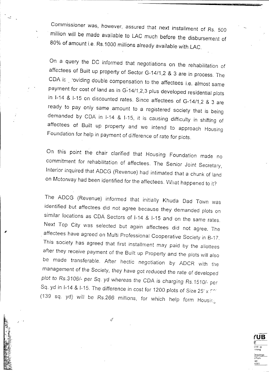Commissioner was, however, assured that next installment of Rs. 500 million will be made available to LAC much before the disbursement of 80% of amount i.e. RS.1000 millions already available with LAC.

On a query the DC informed that negotiations on the rehabilitation of affectees of Built up property of Sector G-14/1 ,2 & 3 are in process. The CDA is . roviding double compensation to the affectees i.e. almost same payment for cost of land as in G-14/1,2,3 plus developed residential plots in 1-14 & 1-15 on discounted rates. Since affectees of G-14/1,2 & 3 are ready to pay only same amount to a registered society that is being demanded by COA in 1-14 & 1-15, it is causing difficulty in shifting of affectees of Built up property and we intend to approach Housing Foundation for help in payment of difference of rate for plots.

On this point the chair clarified that Housing Foundation made no commitment for rehabilitation of affectees. The Senior Joint Secretary, Interior *inquired* that ADCG (Revenue) had intimated that a chunk of land on Motorway had been identified for the affectees. What happened to it?

The AOCG (Revenue) informed that initially Khuda Dad Town was identified but affectees did not agree because they demanded plots on similar locations as CDA Sectors of 1-14 & 1-15 and on the same rates. Next Top City was selected but again affectees did not agree. The . affectees have agreed on Multi Professional Cooperative Society in B-17. This society has agreed that first installment may paid by the allottees after they receive payment of the Built up Property and the plots will also be made transferable. After hectic negotiation by AOCR with the management of the Society, they have got reduced the rate of developed *plot* to RS.3106/- per *Sq.* yd whereas *the COA* is charging RS.1510/- per Sq. yd in I-14 & I-15. The difference in cost for 1200 plots of Size 25' x For (139 sq. yd) will be RS.266 millions, for *which help* form Housir:

4

**(UB** E ii;-:d.. ,g -intlng )rawing I Park ad  $^{13}$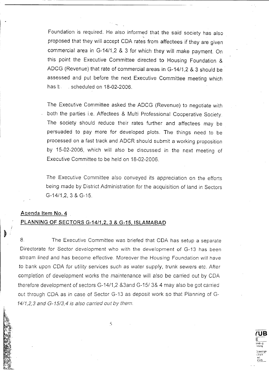Foundation is required. He also informed that the said society has also proposed that they will accept CDA rates from affectees if they are given commercial area in G-14/1,2 & 3 for which they will make payment. On this point the Executive Committee directed to Housing Foundation & ADCG (Revenue) that rate of commercial areas in G-14/1,2 & 3 should be . assessed and put before the next Executive Committee meeting which has b. scheduled on 18-02-2006.

The Executive Committee asked the ADCG (Revenue) to negotiate with both the parties i.e. Affectees & Multi Professional Cooperative Society. The society should reduce their rates further and affectees may be persuaded to pay more for developed plots. The things need to be processed on a fast track and ADCR should submit a working proposition by 15-02-2006, which will also be discussed in the next meeting of Executive Committee to be held on 18-02-2006.

The Executive Committee also conveyed its appreciation on the efforts being made by District Administration for the acquisition of land in Sectors G-14/1.2, 3 & G-15.

#### Agenda Item No.4

### PLANNING OF SECTORS G-14/1, 2, 3 & G-15, ISLAMABAD

8. The Executive Committee was briefed that COA has setup a separate Directorate for Sector development who with the development of G-13 has been stream lined and has become effective. Moreover the Housing Foundation will have to bank *upon* COA for utility services *such* as water supply, *trunk* sewers etc. After completion of development works the *maintenance* will also be carried out by COA therefore development of sectors G-14/1,2 &3and G-15/ 3& 4 may also be got carried out through CDA as in case of Sector G-13 as deposit work so that Pianning of G-*14/1,2,3 and G-15/3,4 is a/so carried out by them.*

5

**(UB** E lind;,.g "ntlng )rawings  $\mathsf{P}$ a: $\mathsf{V}$ ac! >38\_5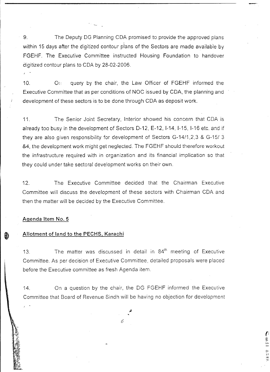9. The Deputy OG Planning COA promised to provide the approved plans within 15 days after the digitized contour plans of the Sectors are made available by FGEHF. The Executive Committee instructed Housing Foundation to handover digitized contour plans to COA by 28-02-2006.

r----------- 1-------------------------------------

10. On query by the chair, the Law Officer of FGEHF informed the Executive Committee that as per conditions of NOC issued by COA, the planning and development of these sectors is to be done through COA as deposit work.

11. The Senior Joint Secretary, Interior showed his concern that COA is already too busy in the development of Sectors 0-12, E-12, 1-14, 1-15,1-16 etc. and if they are also given responsibility for development of Sectors G-14/1 ,2,3 & G-15/ 3 &4, the development work might get neglected. The FGEHF should therefore workout the infrastructure required with in organization and its financial implication so that they could under take sectoral development works on their own.

12. The Executive Committee decided that the Chairman Executive Committee will discuss the development of these sectors with Chairman COA and then the matter will be decided by the Executive Committee.

#### Agenda Item NO.5

#### Allotment of land to the PECHS, Karachi

13. The matter was discussed in detail in  $84<sup>th</sup>$  meeting of Executive Committee. As per decision of Executive Committee, detailed proposals were placed before the Executive committee as fresh Agenda item.

14. On a question by the chair, the DG FGEHF informed the Executive Committee that Board of Revenue Sindh will be having no objection for development

6

 $\mathbf{I}$ E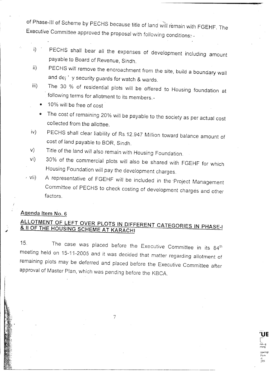of Phase-III of Scheme by PECHS because title of land will remain with FGEHF. The Executive Committee approved the proposal with following conditions:-

- i) PECHS shall bear all the expenses of development including amount payable to Board of Revenue, Sindh.
- ii) PECHS will remove the encroachment from the site, build a boundary wall and de $_i$ <sup>1</sup> y security guards for watch & wards.
- iii) The 30 % of residential plots will be offered to Housing foundation at following terms for allotment to its members.-
	- 10% will be free of cost
	- The cost of remaining 20% will be payable to the society as per actual cost collected from the allottee.
- iv) PECHS shall clear liability of Rs 12.947 Million toward balance amount of cost of land payable to BOR, Sindh.
- v) Title of the land will also remain with Housing Foundation.
- vi) 30% of the commercial plots will also be shared with FGEHF for which Housing Foundation will pay the development charges.
- *<sup>I</sup>* vii) A representative of FGEHF will be included in the -Project Management Committee of PECHS to check costing of development charges and other factors.

## Agenda Item No. 6

# ALLOTMENT OF LEFT OVER PLOTS IN DIFFERENT CATEGORIES IN PHASE-I & /I OF THE HOUSING SCHEME AT KARACHI

15. The case was placed before the Executive Committee in its 84<sup>th</sup> meeting held on 15-11-2005 and it was decided that matter regarding allotment of remaining plots may be deferred and placed before the Executive Committee after approval of Master Plan, which was pending before the KBCA.

7

---------\_.\_----\_.\_-- . ----

**'UE**

nd", r,tlng rawing! Pr,f\<' ,d. :;85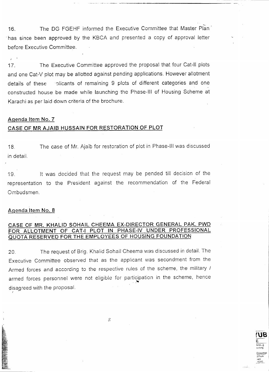16. The DG FGEHF informed the Executive Committee that Master Plan<sup>\*</sup> . has since been approved by the KBCA and presented a copy of approval letter before Executive Committee.

17. The Executive Committee approved the proposal that four Cat-II plots and one Cat-V plot may be allotted against pending applications. However allotment details of these :: plicants of remaining 9 plots of different categories and one constructed house be made while launching the Phase-III of Housing Scheme at Karachi as per laid down criteria of the brochure.

#### **Agenda Item NO.7**

#### **CASE OF MR AJAIB HUSSAIN FOR RESTORATION OF PLOT**

18. in detail. The case of Mr. Ajaib for restoration of plot in Phase-III was discussed

19. It was decided that the request may be pended till decision of the representation to the President against the recommendation of the Federal Ombudsmen.

#### **Agenda Item NO.8**

### **CASE OF MR. KHALID SOHAIL CHEEMA EX-DIRECTOR GENERAL PAK. PWD FOR ALLOTMENT OF CAT-I PLOT IN PHASE-IV UNDER PROFESSIONAL QUOTA RESERVED FOR THE EMPLOYEES OF HOUSING FOUNDATION**

20. The request of Brig. Khalid Sohail Cheema was discussed in detail. The Executive Committee observed that as the applicant was secondment from the Armed forces and according to the respective rules of the scheme, the military / armed forces personnel were not eligible for participation in the scheme, hence .- disagreed with the proposal. / .

 $\mathcal{S}% _{CS}^{(n)}(\theta)=\left( \mathcal{S}% _{CS}^{(n)}(\theta)\right) ^{1-\eta}$ 

**rUB** E ~ind".g rinting Drawing j P?,t.e iad.<br>4385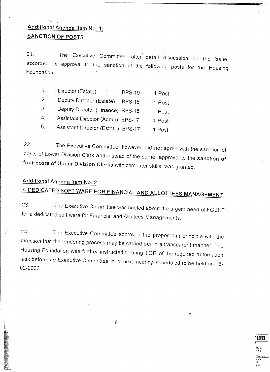# Additional Agenda Item No. 1: SANCTION OF POSTS

The Executive Committee, after detail discussion on the issue, 21. accorded its approval to the sanction of the following posts for the Housing Foundation.

| $\mathbf{1}$ . | - Director (Estate)<br><b>.</b>    | <b>BPS-19</b> | 1 Post |
|----------------|------------------------------------|---------------|--------|
| 2.             | Deputy Director (Estate)           | <b>BPS-18</b> | 1 Post |
| $3_{1}$        | Deputy Director (Finance) BPS-18   |               | 1 Post |
| $\mathbf{4}$ . | Assistant Director (Admn) BPS-17   |               | 1 Post |
| 5 <sub>1</sub> | Assistant Director (Estate) BPS-17 |               | 1 Post |

22. The Executive Committee, however, did not agree with the sanction of posts of Lower Division Clerk and instead of the same, approval to the sanction of fout posts of Upper Division Clerks with computer skills, was granted.

# Additional Agenda Item No. 2

# A DEDICATED SOFT WARE FOR FINANCIAL AND ALLOTTEES MANAGEMENT

23. The Executive Committee was briefed about the urgent need of FGEHF for a dedicated soft ware for Financial and Allottees Managements.

24. The Executive Committee approved the proposal in principle with the direction that the tendering process may be carried out in a transparent manner. The Housing Foundation was further instructed to bring TOR of the required automation task before the Executive Committee in its next meeting scheduled to be held on 18- 02-2006.

> UB. nd…g<br>nting Par' d.  $385-$